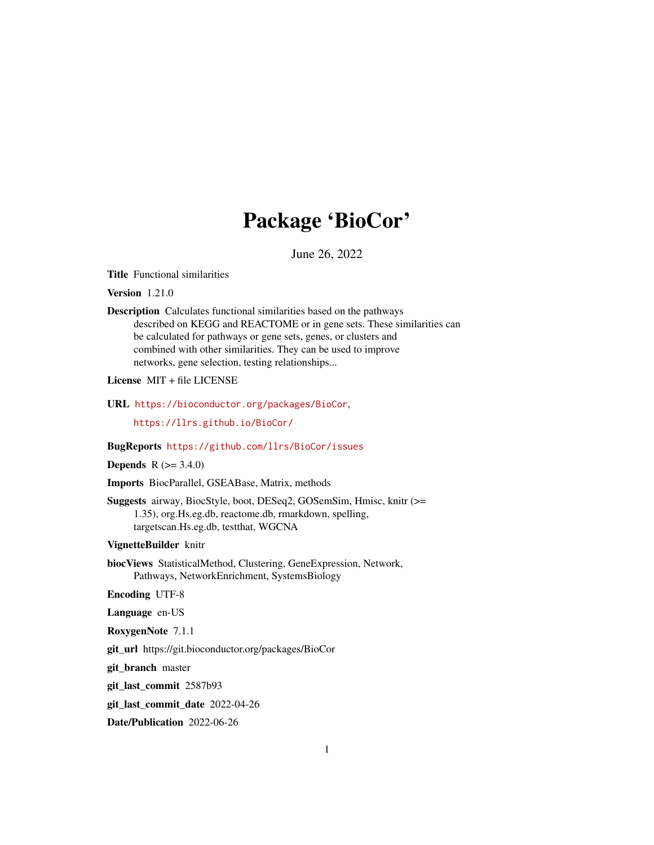# Package 'BioCor'

June 26, 2022

<span id="page-0-0"></span>Title Functional similarities

Version 1.21.0

Description Calculates functional similarities based on the pathways described on KEGG and REACTOME or in gene sets. These similarities can be calculated for pathways or gene sets, genes, or clusters and combined with other similarities. They can be used to improve networks, gene selection, testing relationships...

License MIT + file LICENSE

URL <https://bioconductor.org/packages/BioCor>,

<https://llrs.github.io/BioCor/>

BugReports <https://github.com/llrs/BioCor/issues>

# **Depends**  $R (= 3.4.0)$

Imports BiocParallel, GSEABase, Matrix, methods

Suggests airway, BiocStyle, boot, DESeq2, GOSemSim, Hmisc, knitr (>= 1.35), org.Hs.eg.db, reactome.db, rmarkdown, spelling, targetscan.Hs.eg.db, testthat, WGCNA

# VignetteBuilder knitr

biocViews StatisticalMethod, Clustering, GeneExpression, Network, Pathways, NetworkEnrichment, SystemsBiology

Encoding UTF-8

Language en-US

RoxygenNote 7.1.1

git\_url https://git.bioconductor.org/packages/BioCor

git\_branch master

git\_last\_commit 2587b93

git\_last\_commit\_date 2022-04-26

Date/Publication 2022-06-26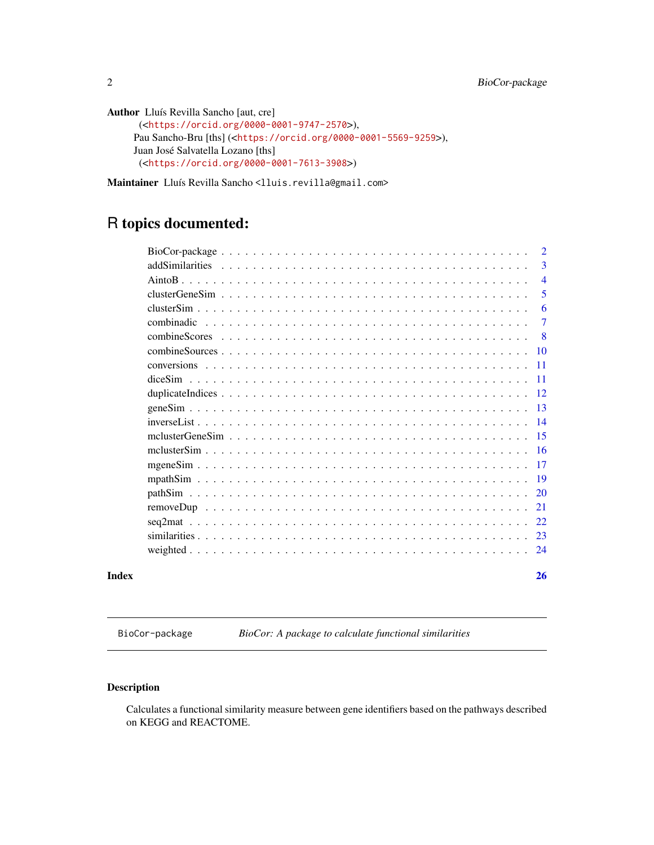```
Author Lluís Revilla Sancho [aut, cre]
      (<https://orcid.org/0000-0001-9747-2570>),
     Pau Sancho-Bru [ths] (<https://orcid.org/0000-0001-5569-9259>),
     Juan José Salvatella Lozano [ths]
      (<https://orcid.org/0000-0001-7613-3908>)
```
Maintainer Lluís Revilla Sancho <lluis.revilla@gmail.com>

# R topics documented:

| Index | 26             |
|-------|----------------|
|       |                |
|       |                |
|       |                |
|       |                |
|       |                |
|       |                |
|       |                |
|       |                |
|       |                |
|       |                |
|       |                |
|       |                |
|       |                |
|       |                |
|       |                |
|       | 7<br>- 8       |
|       | 6              |
|       | 5              |
|       | $\overline{4}$ |
|       | 3              |
|       |                |

BioCor-package *BioCor: A package to calculate functional similarities*

# Description

Calculates a functional similarity measure between gene identifiers based on the pathways described on KEGG and REACTOME.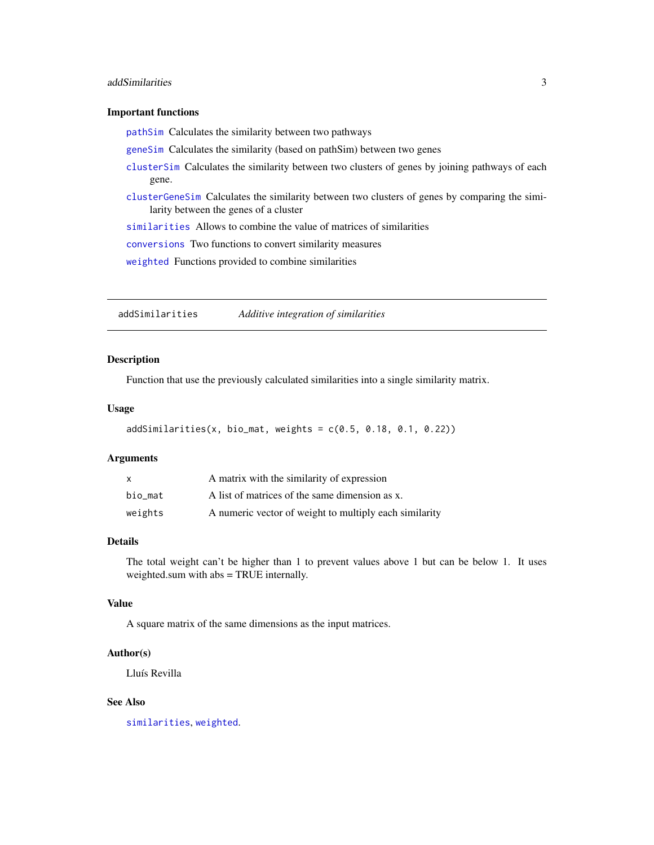# <span id="page-2-0"></span>addSimilarities 3

#### Important functions

[pathSim](#page-19-1) Calculates the similarity between two pathways

[geneSim](#page-12-1) Calculates the similarity (based on pathSim) between two genes

- [clusterSim](#page-5-1) Calculates the similarity between two clusters of genes by joining pathways of each gene.
- [clusterGeneSim](#page-4-1) Calculates the similarity between two clusters of genes by comparing the similarity between the genes of a cluster

[similarities](#page-22-1) Allows to combine the value of matrices of similarities

[conversions](#page-10-1) Two functions to convert similarity measures

[weighted](#page-23-1) Functions provided to combine similarities

<span id="page-2-1"></span>addSimilarities *Additive integration of similarities*

#### Description

Function that use the previously calculated similarities into a single similarity matrix.

#### Usage

```
addSimilarities(x, bio_matrix, weights = c(0.5, 0.18, 0.1, 0.22))
```
#### Arguments

| X       | A matrix with the similarity of expression             |
|---------|--------------------------------------------------------|
| bio mat | A list of matrices of the same dimension as x.         |
| weights | A numeric vector of weight to multiply each similarity |

#### Details

The total weight can't be higher than 1 to prevent values above 1 but can be below 1. It uses weighted.sum with abs = TRUE internally.

# Value

A square matrix of the same dimensions as the input matrices.

#### Author(s)

Lluís Revilla

# See Also

[similarities](#page-22-1), [weighted](#page-23-1).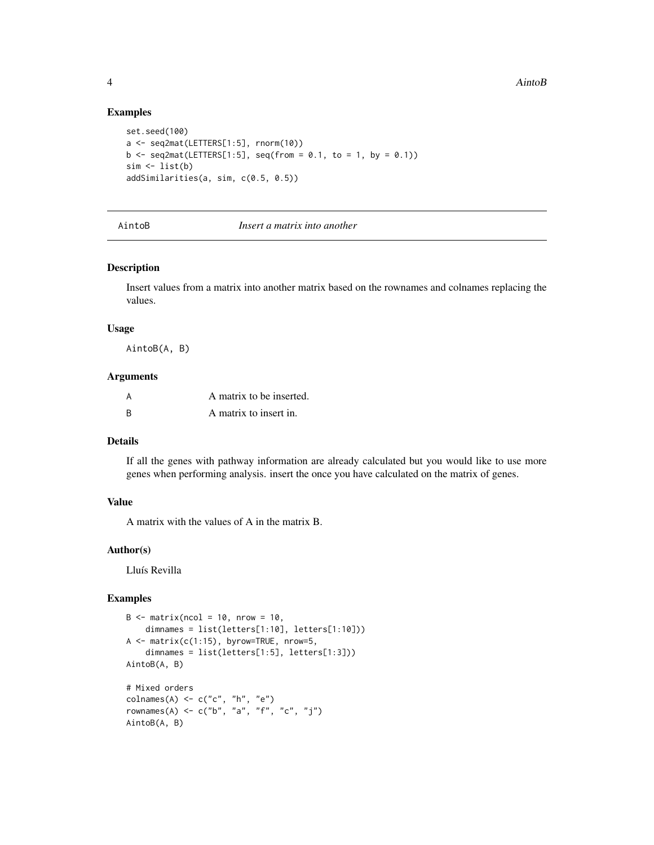#### Examples

```
set.seed(100)
a <- seq2mat(LETTERS[1:5], rnorm(10))
b \leq - seq2mat(LETTERS[1:5], seq(from = 0.1, to = 1, by = 0.1))
sim < list(b)
addSimilarities(a, sim, c(0.5, 0.5))
```
#### AintoB *Insert a matrix into another*

#### Description

Insert values from a matrix into another matrix based on the rownames and colnames replacing the values.

#### Usage

AintoB(A, B)

#### Arguments

|          | A matrix to be inserted. |
|----------|--------------------------|
| <b>R</b> | A matrix to insert in.   |

# Details

If all the genes with pathway information are already calculated but you would like to use more genes when performing analysis. insert the once you have calculated on the matrix of genes.

# Value

A matrix with the values of A in the matrix B.

# Author(s)

Lluís Revilla

# Examples

```
B \le - matrix(ncol = 10, nrow = 10,
    dimnames = list(letters[1:10], letters[1:10]))
A \leq - matrix(c(1:15), byrow=TRUE, nrow=5,
    dimnames = list(letters[1:5], letters[1:3]))
AintoB(A, B)
# Mixed orders
colnames(A) <- c("c", "h", "e")
rownames(A) <- c("b", "a", "f", "c", "j")
AintoB(A, B)
```
<span id="page-3-0"></span>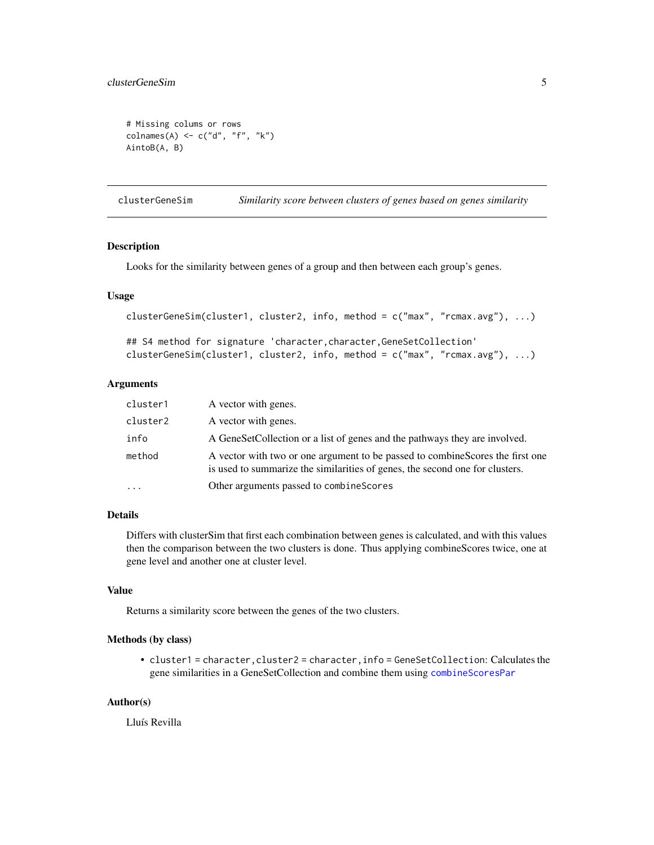# <span id="page-4-0"></span>clusterGeneSim 5

```
# Missing colums or rows
colnames(A) <- c("d", "f", "k")
AintoB(A, B)
```
<span id="page-4-1"></span>clusterGeneSim *Similarity score between clusters of genes based on genes similarity*

# Description

Looks for the similarity between genes of a group and then between each group's genes.

#### Usage

```
clusterGeneSim(cluster1, cluster2, info, method = c("max", "rcmax.avg"), ...)
## S4 method for signature 'character, character, GeneSetCollection'
clusterGeneSim(cluster1, cluster2, info, method = c("max", "rcmax.avg"), ...)
```
#### Arguments

| cluster1 | A vector with genes.                                                                                                                                           |
|----------|----------------------------------------------------------------------------------------------------------------------------------------------------------------|
| cluster2 | A vector with genes.                                                                                                                                           |
| info     | A GeneSetCollection or a list of genes and the pathways they are involved.                                                                                     |
| method   | A vector with two or one argument to be passed to combine Scores the first one<br>is used to summarize the similarities of genes, the second one for clusters. |
|          | Other arguments passed to combine Scores                                                                                                                       |

#### Details

Differs with clusterSim that first each combination between genes is calculated, and with this values then the comparison between the two clusters is done. Thus applying combineScores twice, one at gene level and another one at cluster level.

# Value

Returns a similarity score between the genes of the two clusters.

# Methods (by class)

• cluster1 = character,cluster2 = character,info = GeneSetCollection: Calculates the gene similarities in a GeneSetCollection and combine them using [combineScoresPar](#page-7-1)

# Author(s)

Lluís Revilla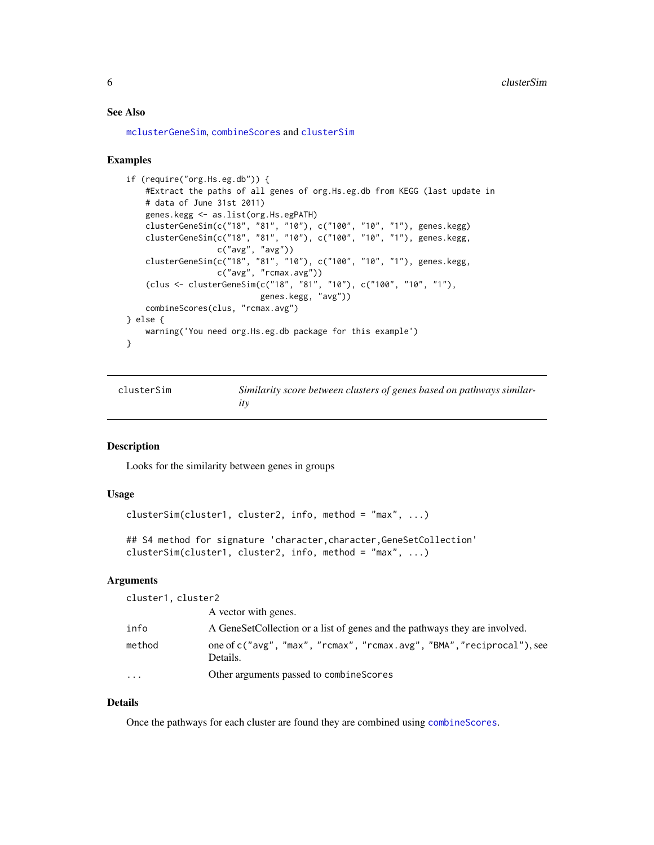#### <span id="page-5-0"></span>See Also

[mclusterGeneSim](#page-14-1), [combineScores](#page-7-2) and [clusterSim](#page-5-1)

#### Examples

```
if (require("org.Hs.eg.db")) {
    #Extract the paths of all genes of org.Hs.eg.db from KEGG (last update in
   # data of June 31st 2011)
   genes.kegg <- as.list(org.Hs.egPATH)
   clusterGeneSim(c("18", "81", "10"), c("100", "10", "1"), genes.kegg)
   clusterGeneSim(c("18", "81", "10"), c("100", "10", "1"), genes.kegg,
                   c("avg", "avg"))
    clusterGeneSim(c("18", "81", "10"), c("100", "10", "1"), genes.kegg,
                   c("avg", "rcmax.avg"))
    (clus <- clusterGeneSim(c("18", "81", "10"), c("100", "10", "1"),
                            genes.kegg, "avg"))
    combineScores(clus, "rcmax.avg")
} else {
   warning('You need org.Hs.eg.db package for this example')
}
```
<span id="page-5-1"></span>

| clusterSim | Similarity score between clusters of genes based on pathways similar- |
|------------|-----------------------------------------------------------------------|
|            |                                                                       |

# Description

Looks for the similarity between genes in groups

# Usage

clusterSim(cluster1, cluster2, info, method = "max", ...)

```
## S4 method for signature 'character, character, GeneSetCollection'
clusterSim(cluster1, cluster2, info, method = "max", ...)
```
# Arguments

cluster1, cluster2

|           | A vector with genes.                                                               |
|-----------|------------------------------------------------------------------------------------|
| info      | A GeneSetCollection or a list of genes and the pathways they are involved.         |
| method    | one of c("avg", "max", "rcmax", "rcmax.avg", "BMA", "reciprocal"), see<br>Details. |
| $\ddotsc$ | Other arguments passed to combine Scores                                           |

# Details

Once the pathways for each cluster are found they are combined using [combineScores](#page-7-2).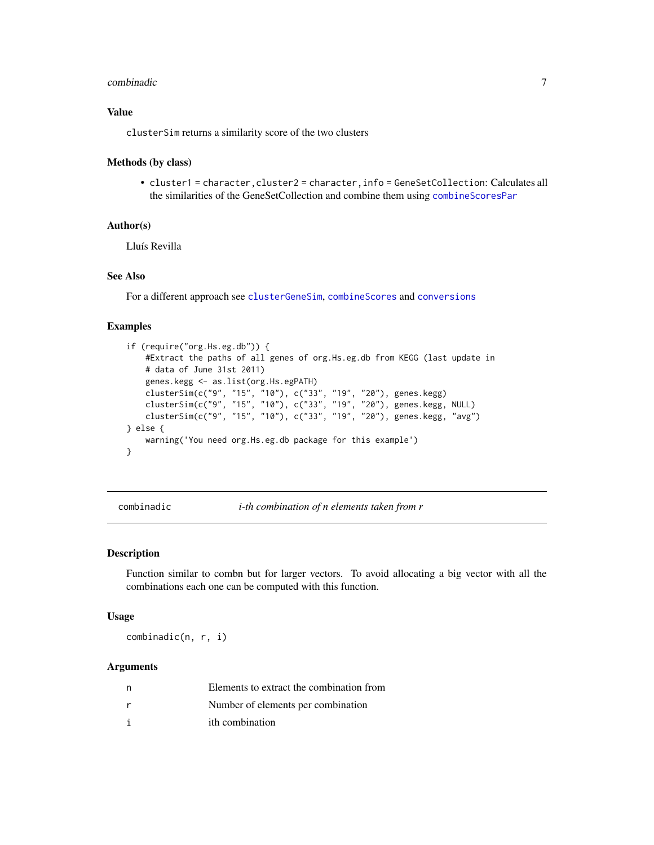#### <span id="page-6-0"></span>combinadic  $\sim$  7

# Value

clusterSim returns a similarity score of the two clusters

#### Methods (by class)

• cluster1 = character,cluster2 = character,info = GeneSetCollection: Calculates all the similarities of the GeneSetCollection and combine them using [combineScoresPar](#page-7-1)

#### Author(s)

Lluís Revilla

# See Also

For a different approach see [clusterGeneSim](#page-4-1), [combineScores](#page-7-2) and [conversions](#page-10-1)

#### Examples

```
if (require("org.Hs.eg.db")) {
   #Extract the paths of all genes of org.Hs.eg.db from KEGG (last update in
   # data of June 31st 2011)
   genes.kegg <- as.list(org.Hs.egPATH)
   clusterSim(c("9", "15", "10"), c("33", "19", "20"), genes.kegg)
    clusterSim(c("9", "15", "10"), c("33", "19", "20"), genes.kegg, NULL)
    clusterSim(c("9", "15", "10"), c("33", "19", "20"), genes.kegg, "avg")
} else {
   warning('You need org.Hs.eg.db package for this example')
}
```
combinadic *i-th combination of n elements taken from r*

#### Description

Function similar to combn but for larger vectors. To avoid allocating a big vector with all the combinations each one can be computed with this function.

#### Usage

combinadic(n, r, i)

#### Arguments

| n | Elements to extract the combination from |
|---|------------------------------------------|
| r | Number of elements per combination       |
| i | ith combination                          |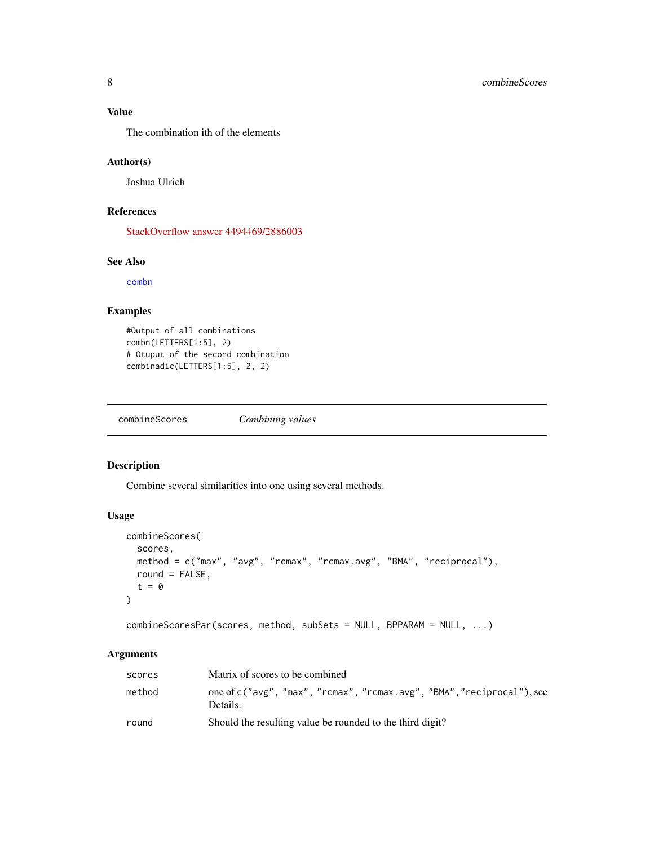# <span id="page-7-0"></span>Value

The combination ith of the elements

# Author(s)

Joshua Ulrich

# References

[StackOverflow answer 4494469/2886003](http://stackoverflow.com/a/4494469/2886003)

#### See Also

[combn](#page-0-0)

# Examples

```
#Output of all combinations
combn(LETTERS[1:5], 2)
# Otuput of the second combination
combinadic(LETTERS[1:5], 2, 2)
```
<span id="page-7-2"></span>combineScores *Combining values*

# <span id="page-7-1"></span>Description

Combine several similarities into one using several methods.

#### Usage

```
combineScores(
  scores,
 method = c("max", "avg", "rcmax", "rcmax.avg", "BMA", "reciprocal"),
 round = FALSE,t = 0
)
```
combineScoresPar(scores, method, subSets = NULL, BPPARAM = NULL, ...)

# Arguments

| scores | Matrix of scores to be combined                                                    |
|--------|------------------------------------------------------------------------------------|
| method | one of c("avg", "max", "rcmax", "rcmax.avg", "BMA", "reciprocal"), see<br>Details. |
| round  | Should the resulting value be rounded to the third digit?                          |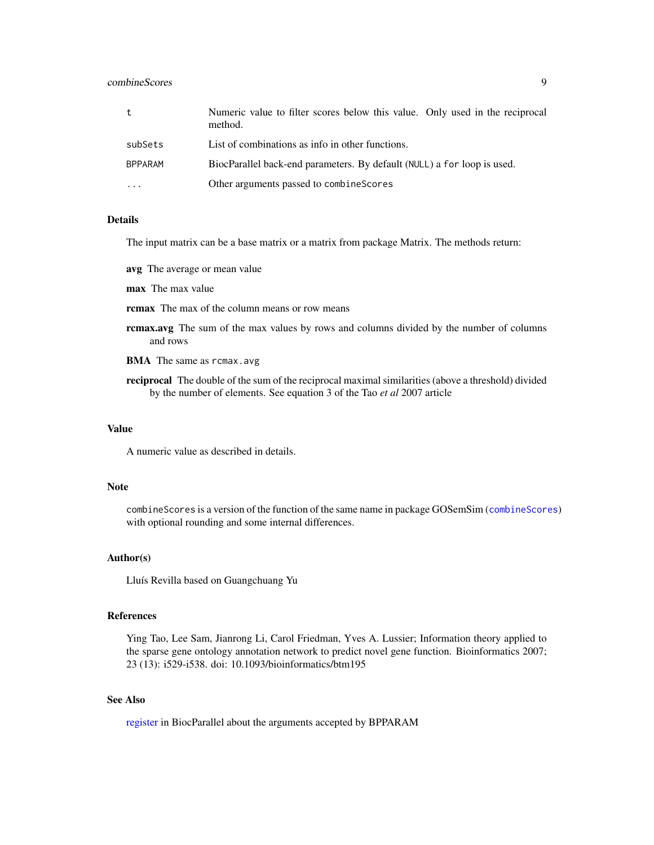# <span id="page-8-0"></span>combineScores 9

| t              | Numeric value to filter scores below this value. Only used in the reciprocal<br>method. |
|----------------|-----------------------------------------------------------------------------------------|
| subSets        | List of combinations as info in other functions.                                        |
| <b>BPPARAM</b> | BiocParallel back-end parameters. By default (NULL) a for loop is used.                 |
| $\ddotsc$      | Other arguments passed to combine Scores                                                |

#### Details

The input matrix can be a base matrix or a matrix from package Matrix. The methods return:

- avg The average or mean value
- max The max value
- rcmax The max of the column means or row means
- rcmax.avg The sum of the max values by rows and columns divided by the number of columns and rows
- BMA The same as rcmax.avg
- reciprocal The double of the sum of the reciprocal maximal similarities (above a threshold) divided by the number of elements. See equation 3 of the Tao *et al* 2007 article

# Value

A numeric value as described in details.

#### Note

combineScores is a version of the function of the same name in package GOSemSim ([combineScores](#page-7-2)) with optional rounding and some internal differences.

# Author(s)

Lluís Revilla based on Guangchuang Yu

#### References

Ying Tao, Lee Sam, Jianrong Li, Carol Friedman, Yves A. Lussier; Information theory applied to the sparse gene ontology annotation network to predict novel gene function. Bioinformatics 2007; 23 (13): i529-i538. doi: 10.1093/bioinformatics/btm195

# See Also

[register](#page-0-0) in BiocParallel about the arguments accepted by BPPARAM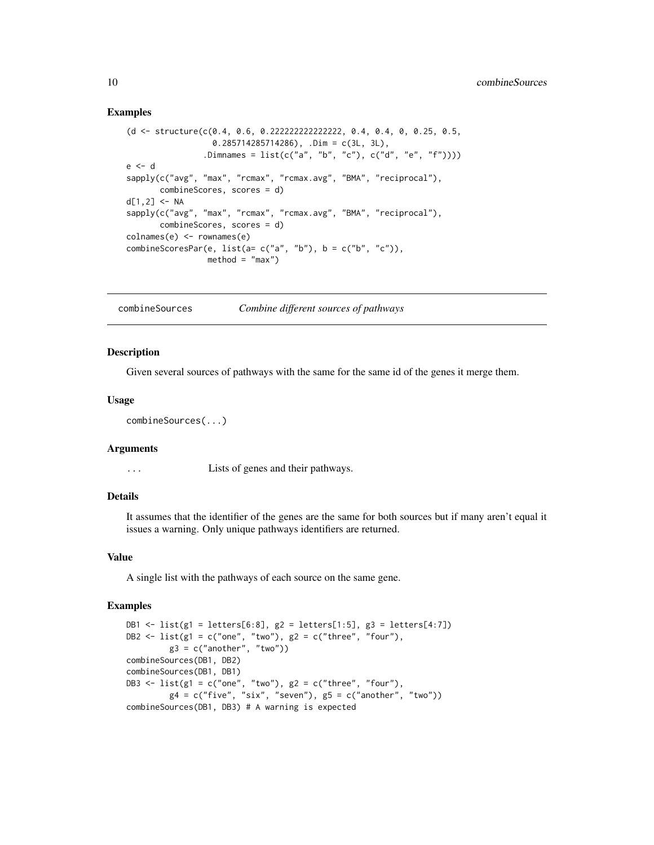#### Examples

```
(d <- structure(c(0.4, 0.6, 0.222222222222222, 0.4, 0.4, 0, 0.25, 0.5,
                 0.285714285714286), .Dim = c(3L, 3L),
                .Dimnames = list(c("a", "b", "c"), c("d", "e", "f"))))
e <- d
sapply(c("avg", "max", "rcmax", "rcmax.avg", "BMA", "reciprocal"),
      combineScores, scores = d)
d[1,2] <- NA
sapply(c("avg", "max", "rcmax", "rcmax.avg", "BMA", "reciprocal"),
      combineScores, scores = d)
colnames(e) <- rownames(e)
combineScoresPar(e, list(a= c("a", "b"), b = c("b", "c")),
                method = "max")
```
combineSources *Combine different sources of pathways*

#### Description

Given several sources of pathways with the same for the same id of the genes it merge them.

#### Usage

```
combineSources(...)
```
#### Arguments

... Lists of genes and their pathways.

# Details

It assumes that the identifier of the genes are the same for both sources but if many aren't equal it issues a warning. Only unique pathways identifiers are returned.

# Value

A single list with the pathways of each source on the same gene.

#### Examples

```
DB1 <- list(g1 = letters[6:8], g2 = letters[1:5], g3 = letters[4:7])
DB2 <- list(g1 = c("one", "two"), g2 = c("three", "four"),g3 = c("another", "two"))
combineSources(DB1, DB2)
combineSources(DB1, DB1)
DB3 \le list(g1 = c("one", "two"), g2 = c("three", "four"),
         g4 = c("five", "six", "seven"), g5 = c("another", "two"))combineSources(DB1, DB3) # A warning is expected
```
<span id="page-9-0"></span>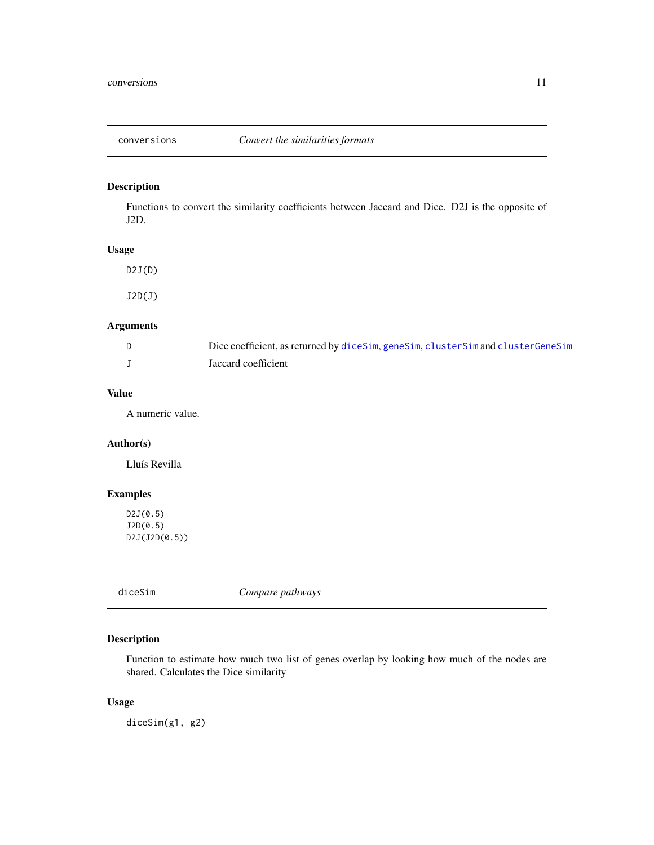<span id="page-10-1"></span><span id="page-10-0"></span>

# Description

Functions to convert the similarity coefficients between Jaccard and Dice. D2J is the opposite of J2D.

# Usage

 $D2J(D)$ J2D(J)

# Arguments

| Dice coefficient, as returned by diceSim, geneSim, clusterSim and clusterGeneSim |
|----------------------------------------------------------------------------------|
| Jaccard coefficient                                                              |

# Value

A numeric value.

# Author(s)

Lluís Revilla

# Examples

D2J(0.5) J2D(0.5) D2J(J2D(0.5))

<span id="page-10-2"></span>diceSim *Compare pathways*

# Description

Function to estimate how much two list of genes overlap by looking how much of the nodes are shared. Calculates the Dice similarity

# Usage

diceSim(g1, g2)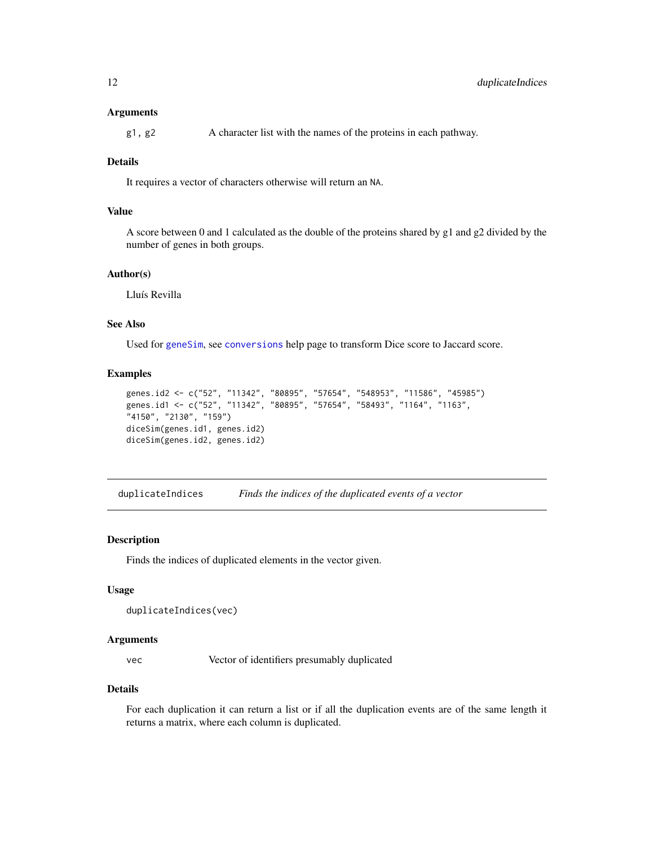#### <span id="page-11-0"></span>Arguments

g1, g2 A character list with the names of the proteins in each pathway.

# Details

It requires a vector of characters otherwise will return an NA.

# Value

A score between 0 and 1 calculated as the double of the proteins shared by g1 and g2 divided by the number of genes in both groups.

#### Author(s)

Lluís Revilla

# See Also

Used for [geneSim](#page-12-1), see [conversions](#page-10-1) help page to transform Dice score to Jaccard score.

#### Examples

```
genes.id2 <- c("52", "11342", "80895", "57654", "548953", "11586", "45985")
genes.id1 <- c("52", "11342", "80895", "57654", "58493", "1164", "1163",
"4150", "2130", "159")
diceSim(genes.id1, genes.id2)
diceSim(genes.id2, genes.id2)
```
<span id="page-11-1"></span>duplicateIndices *Finds the indices of the duplicated events of a vector*

#### **Description**

Finds the indices of duplicated elements in the vector given.

#### Usage

```
duplicateIndices(vec)
```
# Arguments

vec Vector of identifiers presumably duplicated

#### Details

For each duplication it can return a list or if all the duplication events are of the same length it returns a matrix, where each column is duplicated.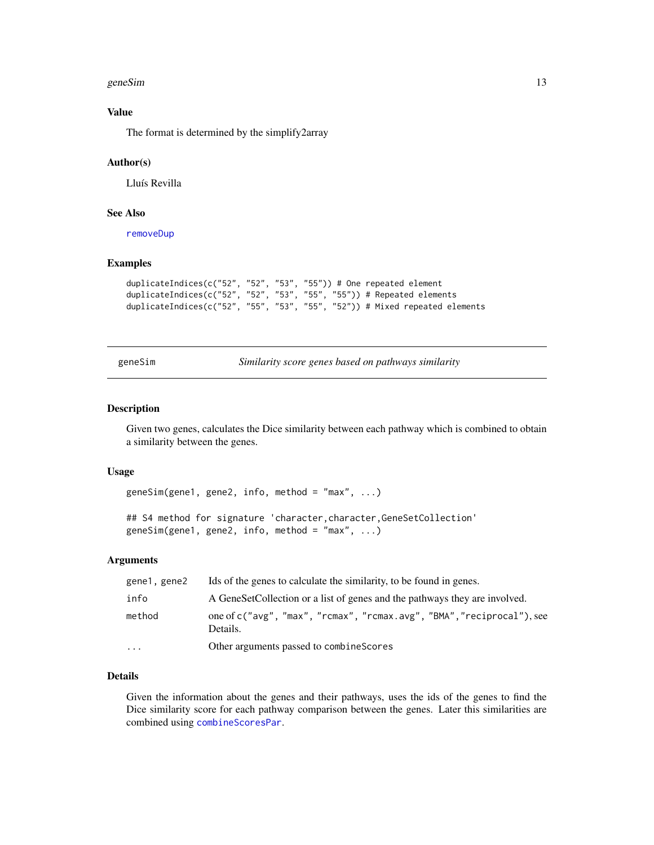#### <span id="page-12-0"></span>geneSim and the set of the set of the set of the set of the set of the set of the set of the set of the set of the set of the set of the set of the set of the set of the set of the set of the set of the set of the set of t

# Value

The format is determined by the simplify2array

#### Author(s)

Lluís Revilla

# See Also

[removeDup](#page-20-1)

# Examples

```
duplicateIndices(c("52", "52", "53", "55")) # One repeated element
duplicateIndices(c("52", "52", "53", "55", "55")) # Repeated elements
duplicateIndices(c("52", "55", "53", "55", "52")) # Mixed repeated elements
```
<span id="page-12-1"></span>geneSim *Similarity score genes based on pathways similarity*

#### Description

Given two genes, calculates the Dice similarity between each pathway which is combined to obtain a similarity between the genes.

#### Usage

geneSim(gene1, gene2, info, method = "max",  $\dots$ )

```
## S4 method for signature 'character, character, GeneSetCollection'
geneSim(gene1, gene2, info, method = "max", \dots)
```
#### Arguments

| gene1, gene2            | Ids of the genes to calculate the similarity, to be found in genes.                |  |
|-------------------------|------------------------------------------------------------------------------------|--|
| info                    | A GeneSetCollection or a list of genes and the pathways they are involved.         |  |
| method                  | one of c("avg", "max", "rcmax", "rcmax.avg", "BMA", "reciprocal"), see<br>Details. |  |
| $\cdot$ $\cdot$ $\cdot$ | Other arguments passed to combine Scores                                           |  |

# Details

Given the information about the genes and their pathways, uses the ids of the genes to find the Dice similarity score for each pathway comparison between the genes. Later this similarities are combined using [combineScoresPar](#page-7-1).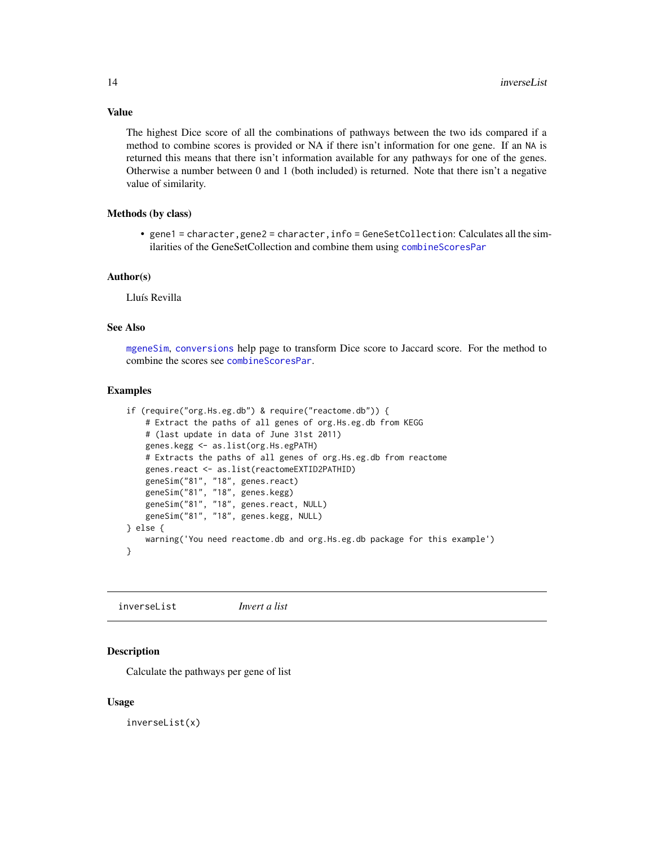<span id="page-13-0"></span>Value

The highest Dice score of all the combinations of pathways between the two ids compared if a method to combine scores is provided or NA if there isn't information for one gene. If an NA is returned this means that there isn't information available for any pathways for one of the genes. Otherwise a number between 0 and 1 (both included) is returned. Note that there isn't a negative value of similarity.

#### Methods (by class)

• gene1 = character,gene2 = character,info = GeneSetCollection: Calculates all the similarities of the GeneSetCollection and combine them using [combineScoresPar](#page-7-1)

#### Author(s)

Lluís Revilla

# See Also

[mgeneSim](#page-16-1), [conversions](#page-10-1) help page to transform Dice score to Jaccard score. For the method to combine the scores see [combineScoresPar](#page-7-1).

#### Examples

```
if (require("org.Hs.eg.db") & require("reactome.db")) {
    # Extract the paths of all genes of org.Hs.eg.db from KEGG
    # (last update in data of June 31st 2011)
   genes.kegg <- as.list(org.Hs.egPATH)
    # Extracts the paths of all genes of org.Hs.eg.db from reactome
   genes.react <- as.list(reactomeEXTID2PATHID)
    geneSim("81", "18", genes.react)
    geneSim("81", "18", genes.kegg)
    geneSim("81", "18", genes.react, NULL)
    geneSim("81", "18", genes.kegg, NULL)
} else {
   warning('You need reactome.db and org.Hs.eg.db package for this example')
}
```
inverseList *Invert a list*

# **Description**

Calculate the pathways per gene of list

#### Usage

inverseList(x)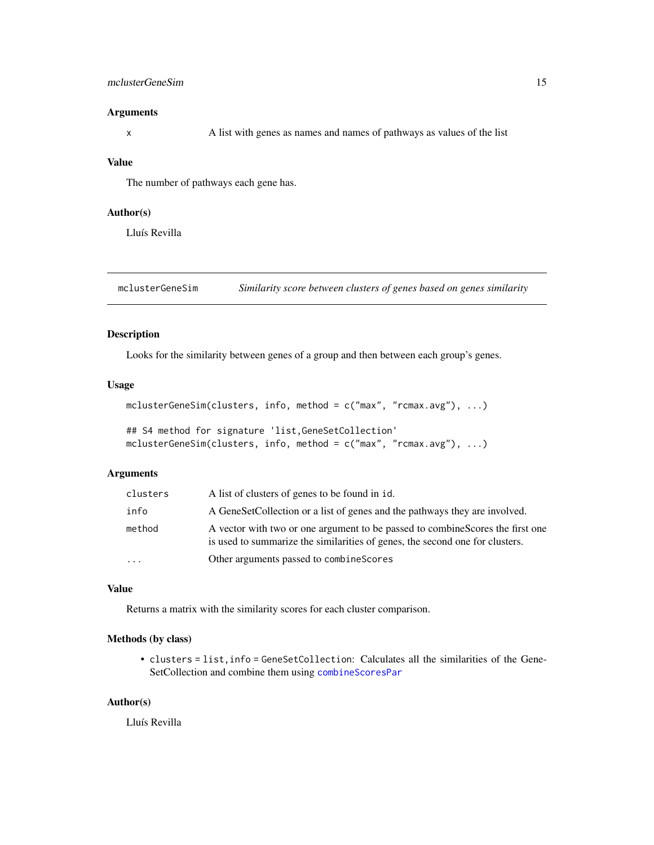# <span id="page-14-0"></span>mclusterGeneSim 15

#### Arguments

x A list with genes as names and names of pathways as values of the list

# Value

The number of pathways each gene has.

# Author(s)

Lluís Revilla

<span id="page-14-1"></span>mclusterGeneSim *Similarity score between clusters of genes based on genes similarity*

# Description

Looks for the similarity between genes of a group and then between each group's genes.

### Usage

```
mclusterGeneSim(clusters, info, method = c("max", "rcmax.avg"), ...)
```

```
## S4 method for signature 'list,GeneSetCollection'
mclusterGeneSim(clusters, info, method = c("max", "rcmax.avg"), ...)
```
#### Arguments

| clusters | A list of clusters of genes to be found in id.                                                                                                                 |
|----------|----------------------------------------------------------------------------------------------------------------------------------------------------------------|
| info     | A GeneSetCollection or a list of genes and the pathways they are involved.                                                                                     |
| method   | A vector with two or one argument to be passed to combine Scores the first one<br>is used to summarize the similarities of genes, the second one for clusters. |
| $\cdots$ | Other arguments passed to combine Scores                                                                                                                       |

#### Value

Returns a matrix with the similarity scores for each cluster comparison.

# Methods (by class)

• clusters = list,info = GeneSetCollection: Calculates all the similarities of the Gene-SetCollection and combine them using [combineScoresPar](#page-7-1)

# Author(s)

Lluís Revilla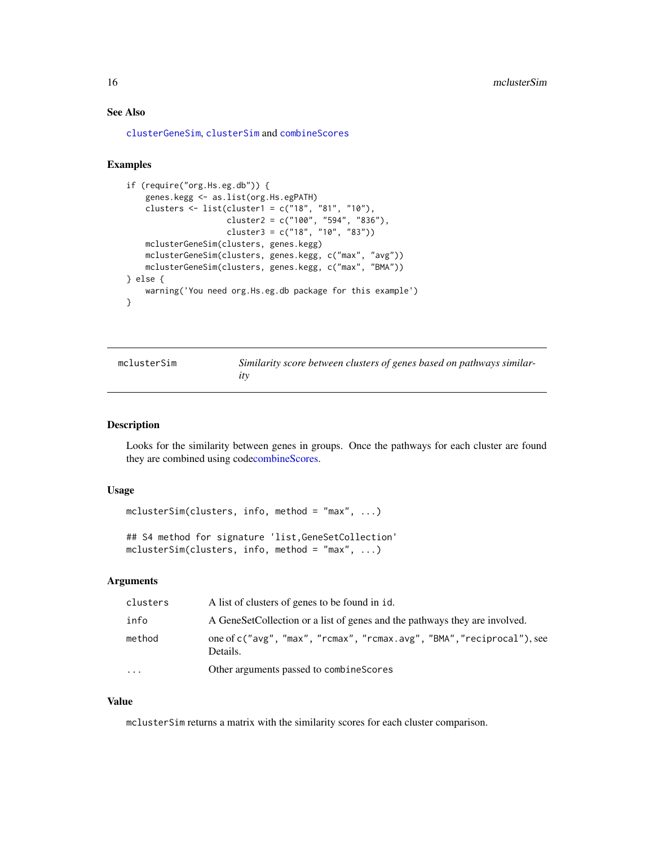# <span id="page-15-0"></span>See Also

[clusterGeneSim](#page-4-1), [clusterSim](#page-5-1) and [combineScores](#page-7-2)

# Examples

```
if (require("org.Hs.eg.db")) {
    genes.kegg <- as.list(org.Hs.egPATH)
   clusters <- list(cluster1 = c("18", "81", "10"),
                     cluster2 = c("100", "594", "836"),
                     cluster3 = c("18", "10", "83"))
   mclusterGeneSim(clusters, genes.kegg)
   mclusterGeneSim(clusters, genes.kegg, c("max", "avg"))
   mclusterGeneSim(clusters, genes.kegg, c("max", "BMA"))
} else {
   warning('You need org.Hs.eg.db package for this example')
}
```

| mclusterSim | Similarity score between clusters of genes based on pathways similar- |
|-------------|-----------------------------------------------------------------------|
|             |                                                                       |

#### Description

Looks for the similarity between genes in groups. Once the pathways for each cluster are found they are combined using cod[ecombineScores.](#page-7-2)

#### Usage

 $mclusterSim(clusters, info, method = "max", ...)$ 

## S4 method for signature 'list,GeneSetCollection' mclusterSim(clusters, info, method = "max", ...)

# Arguments

| clusters | A list of clusters of genes to be found in id.                                     |
|----------|------------------------------------------------------------------------------------|
| info     | A GeneSetCollection or a list of genes and the pathways they are involved.         |
| method   | one of c("avg", "max", "rcmax", "rcmax.avg", "BMA", "reciprocal"), see<br>Details. |
| $\cdots$ | Other arguments passed to combine Scores                                           |

#### Value

mclusterSim returns a matrix with the similarity scores for each cluster comparison.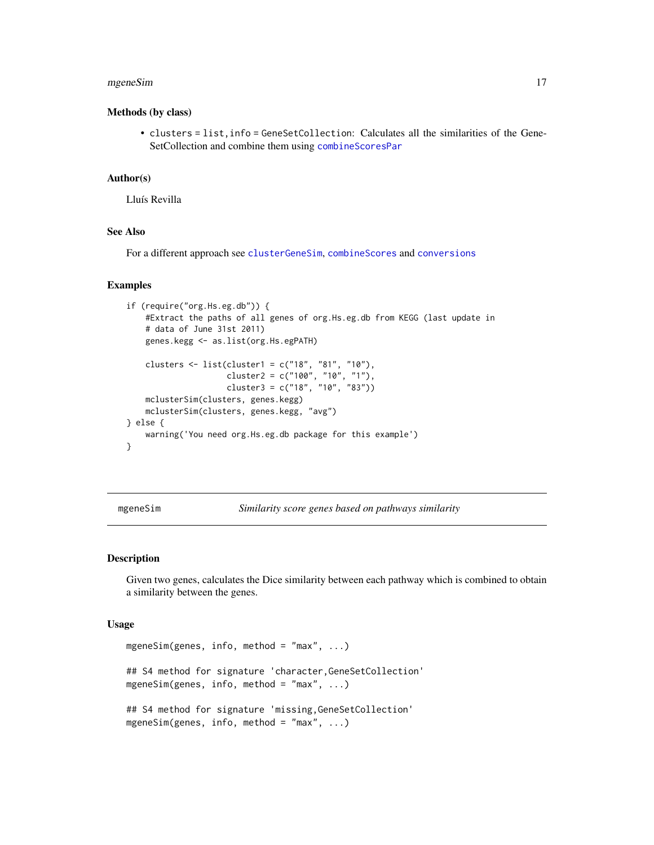#### <span id="page-16-0"></span>mgeneSim and the state of the state of the state of the state of the state of the state of the state of the state of the state of the state of the state of the state of the state of the state of the state of the state of t

#### Methods (by class)

• clusters = list,info = GeneSetCollection: Calculates all the similarities of the Gene-SetCollection and combine them using [combineScoresPar](#page-7-1)

# Author(s)

Lluís Revilla

# See Also

For a different approach see [clusterGeneSim](#page-4-1), [combineScores](#page-7-2) and [conversions](#page-10-1)

#### Examples

```
if (require("org.Hs.eg.db")) {
   #Extract the paths of all genes of org.Hs.eg.db from KEGG (last update in
   # data of June 31st 2011)
   genes.kegg <- as.list(org.Hs.egPATH)
    clusters <- list(cluster1 = c("18", "81", "10"),
                     cluster2 = c("100", "10", "1"),
                     cluster3 = c("18", "10", "83"))
    mclusterSim(clusters, genes.kegg)
   mclusterSim(clusters, genes.kegg, "avg")
} else {
   warning('You need org.Hs.eg.db package for this example')
}
```
<span id="page-16-1"></span>mgeneSim *Similarity score genes based on pathways similarity*

# Description

Given two genes, calculates the Dice similarity between each pathway which is combined to obtain a similarity between the genes.

#### Usage

```
mgeneSim(genes, info, method = "max", ...)
## S4 method for signature 'character, GeneSetCollection'
mgeneSim(genes, info, method = "max", ...)
## S4 method for signature 'missing,GeneSetCollection'
mgeneSim(genes, info, method = "max", ...)
```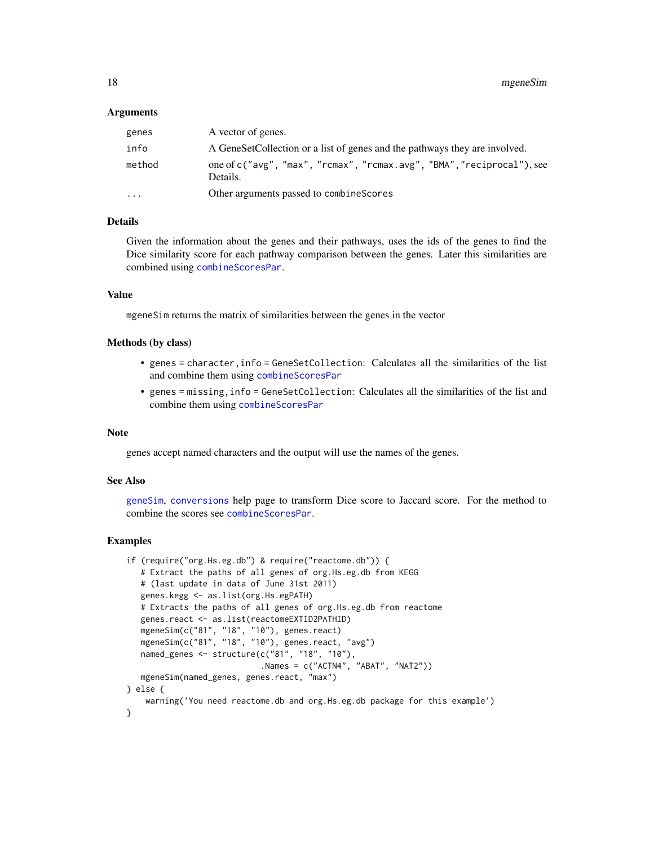#### <span id="page-17-0"></span>Arguments

| genes     | A vector of genes.                                                                 |
|-----------|------------------------------------------------------------------------------------|
| info      | A GeneSetCollection or a list of genes and the pathways they are involved.         |
| method    | one of c("avg", "max", "rcmax", "rcmax.avg", "BMA", "reciprocal"), see<br>Details. |
| $\ddotsc$ | Other arguments passed to combine Scores                                           |

#### Details

Given the information about the genes and their pathways, uses the ids of the genes to find the Dice similarity score for each pathway comparison between the genes. Later this similarities are combined using [combineScoresPar](#page-7-1).

#### Value

mgeneSim returns the matrix of similarities between the genes in the vector

#### Methods (by class)

- genes = character,info = GeneSetCollection: Calculates all the similarities of the list and combine them using [combineScoresPar](#page-7-1)
- genes = missing,info = GeneSetCollection: Calculates all the similarities of the list and combine them using [combineScoresPar](#page-7-1)

#### **Note**

genes accept named characters and the output will use the names of the genes.

# See Also

[geneSim](#page-12-1), [conversions](#page-10-1) help page to transform Dice score to Jaccard score. For the method to combine the scores see [combineScoresPar](#page-7-1).

#### Examples

```
if (require("org.Hs.eg.db") & require("reactome.db")) {
  # Extract the paths of all genes of org.Hs.eg.db from KEGG
   # (last update in data of June 31st 2011)
  genes.kegg <- as.list(org.Hs.egPATH)
  # Extracts the paths of all genes of org.Hs.eg.db from reactome
  genes.react <- as.list(reactomeEXTID2PATHID)
   mgeneSim(c("81", "18", "10"), genes.react)
   mgeneSim(c("81", "18", "10"), genes.react, "avg")
  named_genes <- structure(c("81", "18", "10"),
                            .Names = c("ACTN4", "ABAT", "NAT2"))
  mgeneSim(named_genes, genes.react, "max")
} else {
   warning('You need reactome.db and org.Hs.eg.db package for this example')
}
```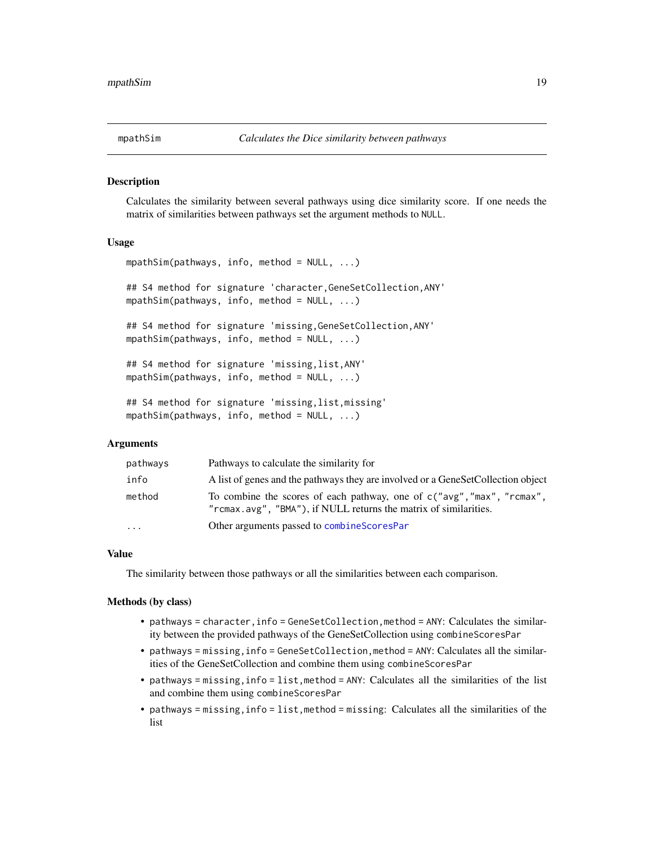<span id="page-18-1"></span><span id="page-18-0"></span>

# Description

Calculates the similarity between several pathways using dice similarity score. If one needs the matrix of similarities between pathways set the argument methods to NULL.

#### Usage

mpathSim(pathways, info, method = NULL, ...)

## S4 method for signature 'character,GeneSetCollection,ANY'  $mpathSim(pathways, info, method = NULL, ...)$ 

## S4 method for signature 'missing,GeneSetCollection,ANY' mpathSim(pathways, info, method = NULL, ...)

## S4 method for signature 'missing,list,ANY' mpathSim(pathways, info, method = NULL, ...)

## S4 method for signature 'missing,list,missing' mpathSim(pathways, info, method = NULL, ...)

#### **Arguments**

| pathways | Pathways to calculate the similarity for                                                                                                   |
|----------|--------------------------------------------------------------------------------------------------------------------------------------------|
| info     | A list of genes and the pathways they are involved or a GeneSetCollection object                                                           |
| method   | To combine the scores of each pathway, one of c("avg", "max", "rcmax",<br>"rcmax.avg", "BMA"), if NULL returns the matrix of similarities. |
| $\ddots$ | Other arguments passed to combine Scores Par                                                                                               |

#### Value

The similarity between those pathways or all the similarities between each comparison.

#### Methods (by class)

- pathways = character,info = GeneSetCollection,method = ANY: Calculates the similarity between the provided pathways of the GeneSetCollection using combineScoresPar
- pathways = missing, info = GeneSetCollection, method = ANY: Calculates all the similarities of the GeneSetCollection and combine them using combineScoresPar
- pathways = missing,info = list,method = ANY: Calculates all the similarities of the list and combine them using combineScoresPar
- pathways = missing,info = list,method = missing: Calculates all the similarities of the list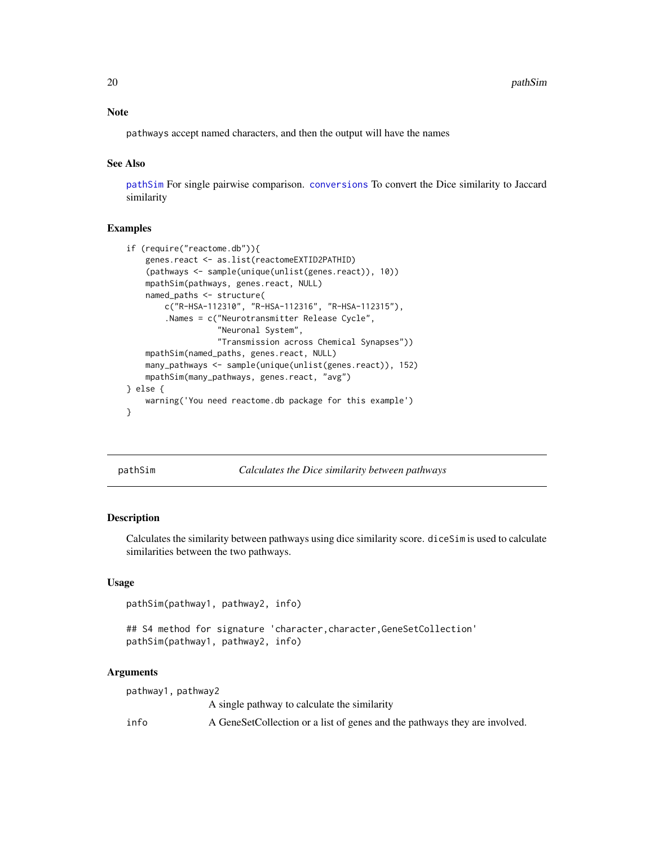#### Note

pathways accept named characters, and then the output will have the names

# See Also

[pathSim](#page-19-1) For single pairwise comparison. [conversions](#page-10-1) To convert the Dice similarity to Jaccard similarity

#### Examples

```
if (require("reactome.db")){
   genes.react <- as.list(reactomeEXTID2PATHID)
    (pathways <- sample(unique(unlist(genes.react)), 10))
   mpathSim(pathways, genes.react, NULL)
   named_paths <- structure(
       c("R-HSA-112310", "R-HSA-112316", "R-HSA-112315"),
        .Names = c("Neurotransmitter Release Cycle",
                   "Neuronal System",
                   "Transmission across Chemical Synapses"))
    mpathSim(named_paths, genes.react, NULL)
   many_pathways <- sample(unique(unlist(genes.react)), 152)
    mpathSim(many_pathways, genes.react, "avg")
} else {
    warning('You need reactome.db package for this example')
}
```
<span id="page-19-1"></span>pathSim *Calculates the Dice similarity between pathways*

#### Description

Calculates the similarity between pathways using dice similarity score. diceSim is used to calculate similarities between the two pathways.

#### Usage

```
pathSim(pathway1, pathway2, info)
```
## S4 method for signature 'character, character, GeneSetCollection' pathSim(pathway1, pathway2, info)

#### Arguments

pathway1, pathway2 A single pathway to calculate the similarity info A GeneSetCollection or a list of genes and the pathways they are involved.

<span id="page-19-0"></span>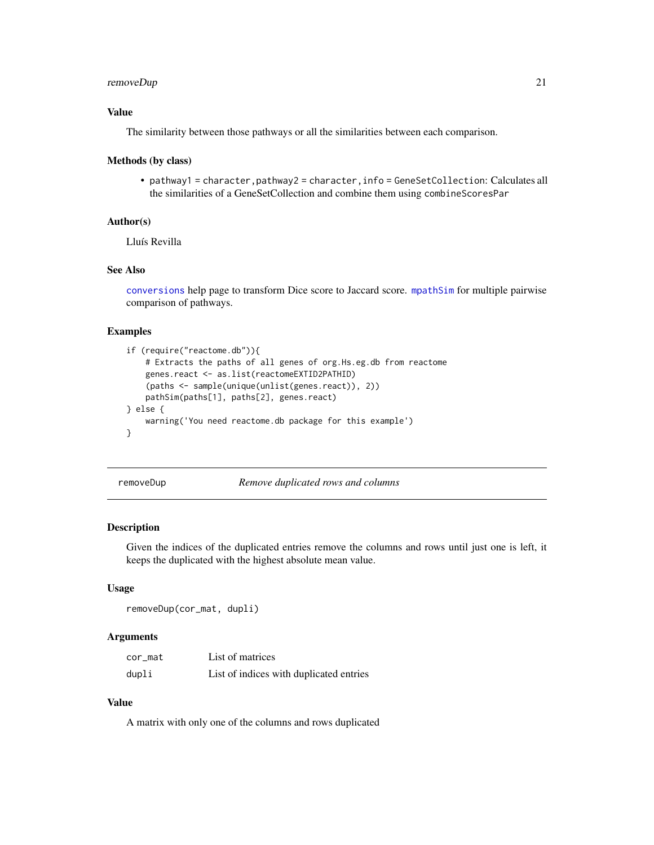# <span id="page-20-0"></span>removeDup 21

# Value

The similarity between those pathways or all the similarities between each comparison.

#### Methods (by class)

• pathway1 = character,pathway2 = character,info = GeneSetCollection: Calculates all the similarities of a GeneSetCollection and combine them using combineScoresPar

#### Author(s)

Lluís Revilla

# See Also

[conversions](#page-10-1) help page to transform Dice score to Jaccard score. [mpathSim](#page-18-1) for multiple pairwise comparison of pathways.

#### Examples

```
if (require("reactome.db")){
   # Extracts the paths of all genes of org.Hs.eg.db from reactome
   genes.react <- as.list(reactomeEXTID2PATHID)
    (paths <- sample(unique(unlist(genes.react)), 2))
   pathSim(paths[1], paths[2], genes.react)
} else {
    warning('You need reactome.db package for this example')
}
```
<span id="page-20-1"></span>removeDup *Remove duplicated rows and columns*

#### Description

Given the indices of the duplicated entries remove the columns and rows until just one is left, it keeps the duplicated with the highest absolute mean value.

#### Usage

```
removeDup(cor_mat, dupli)
```
#### Arguments

| cor_mat | List of matrices                        |
|---------|-----------------------------------------|
| dupli   | List of indices with duplicated entries |

# Value

A matrix with only one of the columns and rows duplicated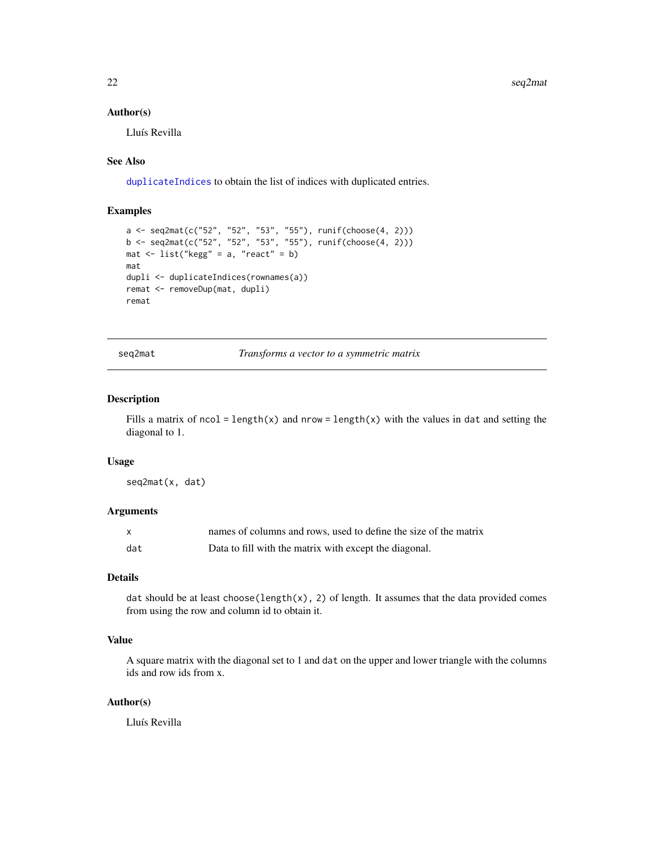<span id="page-21-0"></span>22 seq $2$ mat

#### Author(s)

Lluís Revilla

# See Also

[duplicateIndices](#page-11-1) to obtain the list of indices with duplicated entries.

# Examples

```
a <- seq2mat(c("52", "52", "53", "55"), runif(choose(4, 2)))
b <- seq2mat(c("52", "52", "53", "55"), runif(choose(4, 2)))
mat <- list("kegg" = a, "react" = b)
mat
dupli <- duplicateIndices(rownames(a))
remat <- removeDup(mat, dupli)
remat
```
seq2mat *Transforms a vector to a symmetric matrix*

# Description

Fills a matrix of ncol = length(x) and nrow = length(x) with the values in dat and setting the diagonal to 1.

#### Usage

seq2mat(x, dat)

# Arguments

| $\mathsf{x}$ | names of columns and rows, used to define the size of the matrix |
|--------------|------------------------------------------------------------------|
| dat          | Data to fill with the matrix with except the diagonal.           |

#### Details

dat should be at least choose(length(x), 2) of length. It assumes that the data provided comes from using the row and column id to obtain it.

# Value

A square matrix with the diagonal set to 1 and dat on the upper and lower triangle with the columns ids and row ids from x.

#### Author(s)

Lluís Revilla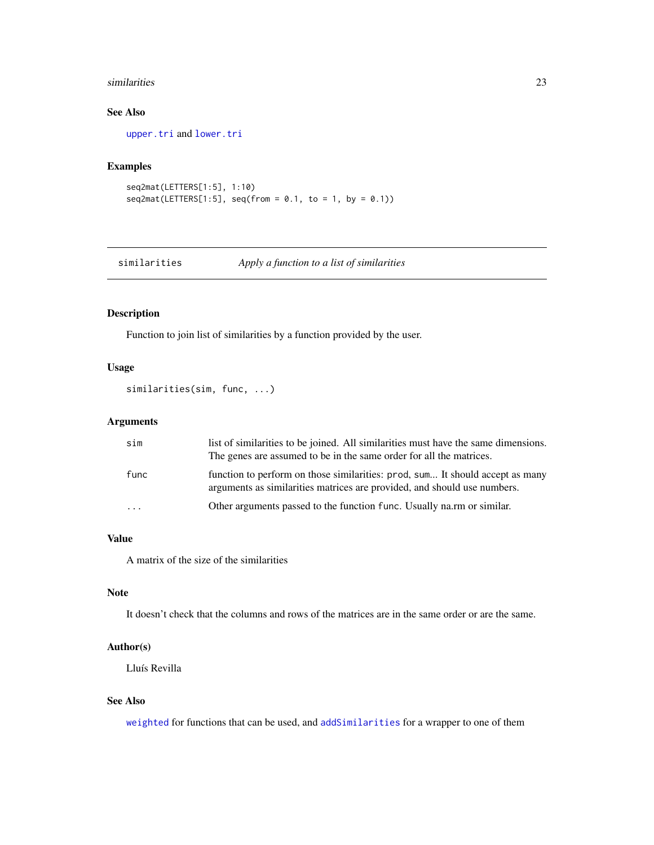#### <span id="page-22-0"></span>similarities 23

# See Also

[upper.tri](#page-0-0) and [lower.tri](#page-0-0)

# Examples

```
seq2mat(LETTERS[1:5], 1:10)
seq2mat(LETTERS[1:5], seq(from = 0.1, to = 1, by = 0.1))
```
<span id="page-22-1"></span>similarities *Apply a function to a list of similarities*

# Description

Function to join list of similarities by a function provided by the user.

# Usage

```
similarities(sim, func, ...)
```
# Arguments

| sim     | list of similarities to be joined. All similarities must have the same dimensions.<br>The genes are assumed to be in the same order for all the matrices. |
|---------|-----------------------------------------------------------------------------------------------------------------------------------------------------------|
| func    | function to perform on those similarities: prod, sum It should accept as many<br>arguments as similarities matrices are provided, and should use numbers. |
| $\cdot$ | Other arguments passed to the function func. Usually na.rm or similar.                                                                                    |

# Value

A matrix of the size of the similarities

# Note

It doesn't check that the columns and rows of the matrices are in the same order or are the same.

# Author(s)

Lluís Revilla

#### See Also

[weighted](#page-23-1) for functions that can be used, and [addSimilarities](#page-2-1) for a wrapper to one of them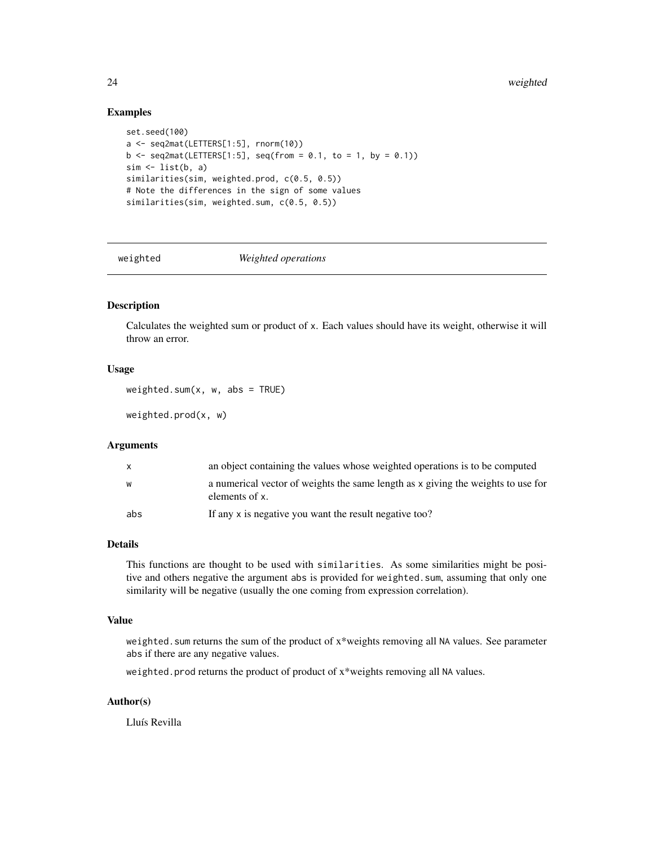#### <span id="page-23-0"></span>Examples

```
set.seed(100)
a <- seq2mat(LETTERS[1:5], rnorm(10))
b \leq - seq2mat(LETTERS[1:5], seq(from = 0.1, to = 1, by = 0.1))
sim < list(b, a)
similarities(sim, weighted.prod, c(0.5, 0.5))
# Note the differences in the sign of some values
similarities(sim, weighted.sum, c(0.5, 0.5))
```
<span id="page-23-1"></span>

weighted *Weighted operations*

# Description

Calculates the weighted sum or product of x. Each values should have its weight, otherwise it will throw an error.

#### Usage

weighted.sum $(x, w, abs = TRUE)$ 

weighted.prod(x, w)

# Arguments

| X   | an object containing the values whose weighted operations is to be computed                        |
|-----|----------------------------------------------------------------------------------------------------|
| W   | a numerical vector of weights the same length as x giving the weights to use for<br>elements of x. |
| abs | If any x is negative you want the result negative too?                                             |

#### Details

This functions are thought to be used with similarities. As some similarities might be positive and others negative the argument abs is provided for weighted.sum, assuming that only one similarity will be negative (usually the one coming from expression correlation).

#### Value

weighted. sum returns the sum of the product of x\*weights removing all NA values. See parameter abs if there are any negative values.

weighted.prod returns the product of product of x\*weights removing all NA values.

### Author(s)

Lluís Revilla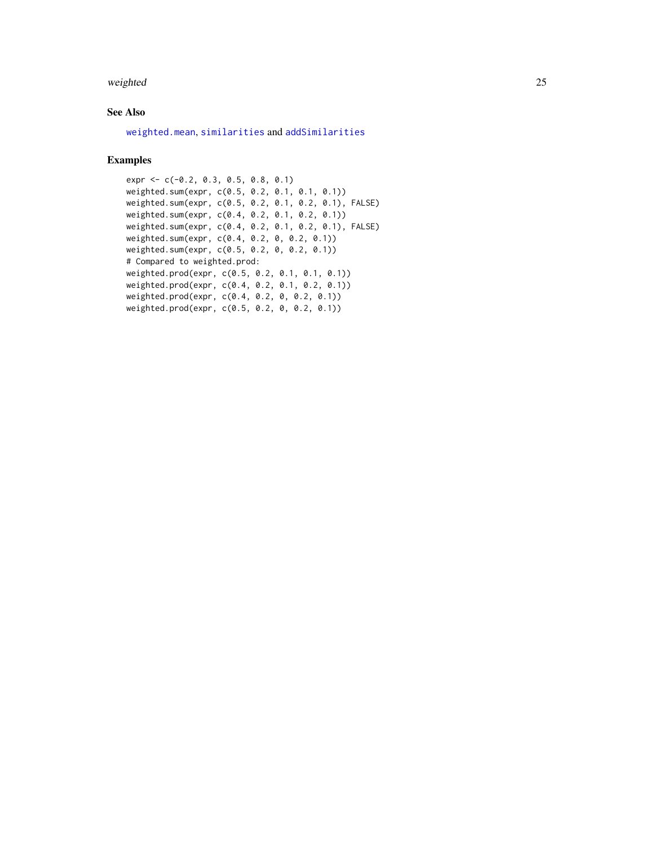#### <span id="page-24-0"></span>weighted 25

# See Also

[weighted.mean](#page-0-0), [similarities](#page-22-1) and [addSimilarities](#page-2-1)

# Examples

```
expr <- c(-0.2, 0.3, 0.5, 0.8, 0.1)
weighted.sum(expr, c(0.5, 0.2, 0.1, 0.1, 0.1))
weighted.sum(expr, c(0.5, 0.2, 0.1, 0.2, 0.1), FALSE)
weighted.sum(expr, c(0.4, 0.2, 0.1, 0.2, 0.1))
weighted.sum(expr, c(0.4, 0.2, 0.1, 0.2, 0.1), FALSE)
weighted.sum(expr, c(0.4, 0.2, 0, 0.2, 0.1))
weighted.sum(expr, c(0.5, 0.2, 0, 0.2, 0.1))
# Compared to weighted.prod:
weighted.prod(expr, c(0.5, 0.2, 0.1, 0.1, 0.1))
weighted.prod(expr, c(0.4, 0.2, 0.1, 0.2, 0.1))
weighted.prod(expr, c(0.4, 0.2, 0, 0.2, 0.1))
weighted.prod(expr, c(0.5, 0.2, 0, 0.2, 0.1))
```